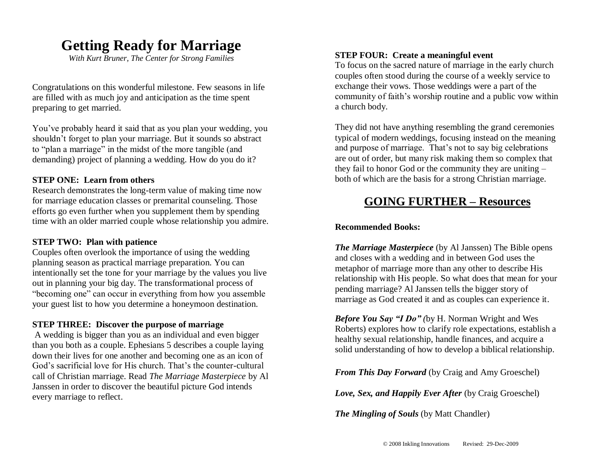# **Getting Ready for Marriage**

*With Kurt Bruner, The Center for Strong Families*

Congratulations on this wonderful milestone. Few seasons in life are filled with as much joy and anticipation as the time spent preparing to get married.

You've probably heard it said that as you plan your wedding, you shouldn't forget to plan your marriage. But it sounds so abstract to "plan a marriage" in the midst of the more tangible (and demanding) project of planning a wedding. How do you do it?

#### **STEP ONE: Learn from others**

Research demonstrates the long-term value of making time now for marriage education classes or premarital counseling. Those efforts go even further when you supplement them by spending time with an older married couple whose relationship you admire.

## **STEP TWO: Plan with patience**

Couples often overlook the importance of using the wedding planning season as practical marriage preparation. You can intentionally set the tone for your marriage by the values you live out in planning your big day. The transformational process of "becoming one" can occur in everything from how you assemble your guest list to how you determine a honeymoon destination.

## **STEP THREE: Discover the purpose of marriage**

A wedding is bigger than you as an individual and even bigger than you both as a couple. Ephesians 5 describes a couple laying down their lives for one another and becoming one as an icon of God's sacrificial love for His church. That's the counter-cultural call of Christian marriage. Read *The Marriage Masterpiece* by Al Janssen in order to discover the beautiful picture God intends every marriage to reflect.

# **STEP FOUR: Create a meaningful event**

To focus on the sacred nature of marriage in the early church couples often stood during the course of a weekly service to exchange their vows. Those weddings were a part of the community of faith's worship routine and a public vow within a church body.

They did not have anything resembling the grand ceremonies typical of modern weddings, focusing instead on the meaning and purpose of marriage. That's not to say big celebrations are out of order, but many risk making them so complex that they fail to honor God or the community they are uniting – both of which are the basis for a strong Christian marriage.

# **GOING FURTHER – Resources**

## **Recommended Books:**

*The Marriage Masterpiece* (by Al Janssen) The Bible opens and closes with a wedding and in between God uses the metaphor of marriage more than any other to describe His relationship with His people. So what does that mean for your pending marriage? Al Janssen tells the bigger story of marriage as God created it and as couples can experience it.

*Before You Say "I Do" (*by H. Norman Wright and Wes Roberts) explores how to clarify role expectations, establish a healthy sexual relationship, handle finances, and acquire a solid understanding of how to develop a biblical relationship.

*From This Day Forward* (by Craig and Amy Groeschel)

*Love, Sex, and Happily Ever After* (by Craig Groeschel)

*The Mingling of Souls* (by Matt Chandler)